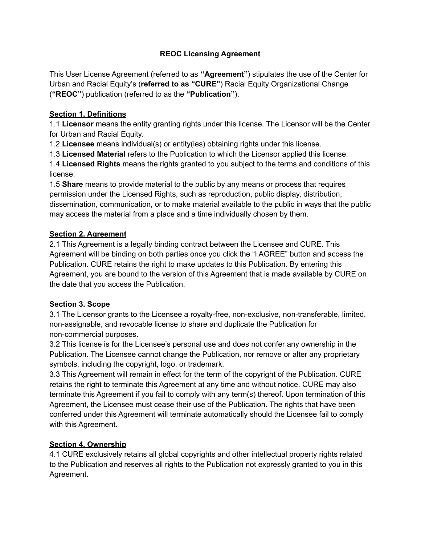# **REOC Licensing Agreement**

This User License Agreement (referred to as **"Agreement"**) stipulates the use of the Center for Urban and Racial Equity's (**referred to as "CURE"**) Racial Equity Organizational Change (**"REOC"**) publication (referred to as the **"Publication"**).

## **Section 1. Definitions**

1.1 **Licensor** means the entity granting rights under this license. The Licensor will be the Center for Urban and Racial Equity.

1.2 **Licensee** means individual(s) or entity(ies) obtaining rights under this license.

1.3 **Licensed Material** refers to the Publication to which the Licensor applied this license.

1.4 **Licensed Rights** means the rights granted to you subject to the terms and conditions of this license.

1.5 **Share** means to provide material to the public by any means or process that requires permission under the Licensed Rights, such as reproduction, public display, distribution, dissemination, communication, or to make material available to the public in ways that the public may access the material from a place and a time individually chosen by them.

# **Section 2. Agreement**

2.1 This Agreement is a legally binding contract between the Licensee and CURE. This Agreement will be binding on both parties once you click the "I AGREE" button and access the Publication. CURE retains the right to make updates to this Publication. By entering this Agreement, you are bound to the version of this Agreement that is made available by CURE on the date that you access the Publication.

### **Section 3. Scope**

3.1 The Licensor grants to the Licensee a royalty-free, non-exclusive, non-transferable, limited, non-assignable, and revocable license to share and duplicate the Publication for non-commercial purposes.

3.2 This license is for the Licensee's personal use and does not confer any ownership in the Publication. The Licensee cannot change the Publication, nor remove or alter any proprietary symbols, including the copyright, logo, or trademark.

3.3 This Agreement will remain in effect for the term of the copyright of the Publication. CURE retains the right to terminate this Agreement at any time and without notice. CURE may also terminate this Agreement if you fail to comply with any term(s) thereof. Upon termination of this Agreement, the Licensee must cease their use of the Publication. The rights that have been conferred under this Agreement will terminate automatically should the Licensee fail to comply with this Agreement.

### **Section 4. Ownership**

4.1 CURE exclusively retains all global copyrights and other intellectual property rights related to the Publication and reserves all rights to the Publication not expressly granted to you in this Agreement.